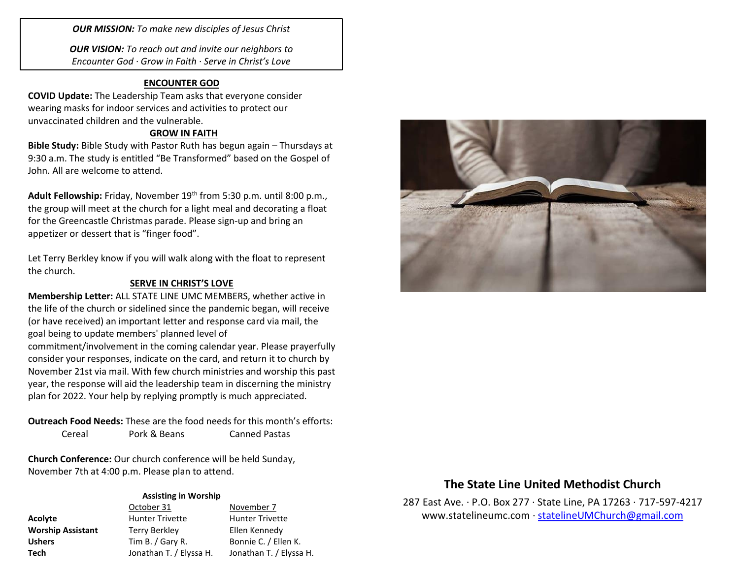*OUR MISSION: To make new disciples of Jesus Christ*

*OUR VISION: To reach out and invite our neighbors to Encounter God · Grow in Faith · Serve in Christ's Love*

## **ENCOUNTER GOD**

**COVID Update:** The Leadership Team asks that everyone consider wearing masks for indoor services and activities to protect our unvaccinated children and the vulnerable.

## **GROW IN FAITH**

**Bible Study:** Bible Study with Pastor Ruth has begun again – Thursdays at 9:30 a.m. The study is entitled "Be Transformed" based on the Gospel of John. All are welcome to attend.

Adult Fellowship: Friday, November 19<sup>th</sup> from 5:30 p.m. until 8:00 p.m., the group will meet at the church for a light meal and decorating a float for the Greencastle Christmas parade. Please sign-up and bring an appetizer or dessert that is "finger food".

Let Terry Berkley know if you will walk along with the float to represent the church.

### **SERVE IN CHRIST'S LOVE**

**Membership Letter:** ALL STATE LINE UMC MEMBERS, whether active in the life of the church or sidelined since the pandemic began, will receive (or have received) an important letter and response card via mail, the goal being to update members' planned level of commitment/involvement in the coming calendar year. Please prayerfully consider your responses, indicate on the card, and return it to church by November 21st via mail. With few church ministries and worship this past year, the response will aid the leadership team in discerning the ministry plan for 2022. Your help by replying promptly is much appreciated.

**Outreach Food Needs:** These are the food needs for this month's efforts: Cereal Pork & Beans Canned Pastas

**Church Conference:** Our church conference will be held Sunday, November 7th at 4:00 p.m. Please plan to attend.

#### **Assisting in Worship**

|                          | October 31              | November 7              |
|--------------------------|-------------------------|-------------------------|
| <b>Acolyte</b>           | <b>Hunter Trivette</b>  | <b>Hunter Trivette</b>  |
| <b>Worship Assistant</b> | <b>Terry Berkley</b>    | Ellen Kennedy           |
| <b>Ushers</b>            | Tim B. $/$ Gary R.      | Bonnie C. / Ellen K.    |
| Tech                     | Jonathan T. / Elyssa H. | Jonathan T. / Elyssa H. |



# **The State Line United Methodist Church**

287 East Ave. · P.O. Box 277 · State Line, PA 17263 · 717-597-4217 [www.statelineumc.com](http://www.statelineumc.com/) · [statelineUMChurch@gmail.com](mailto:statelineUMChurch@gmail.com)